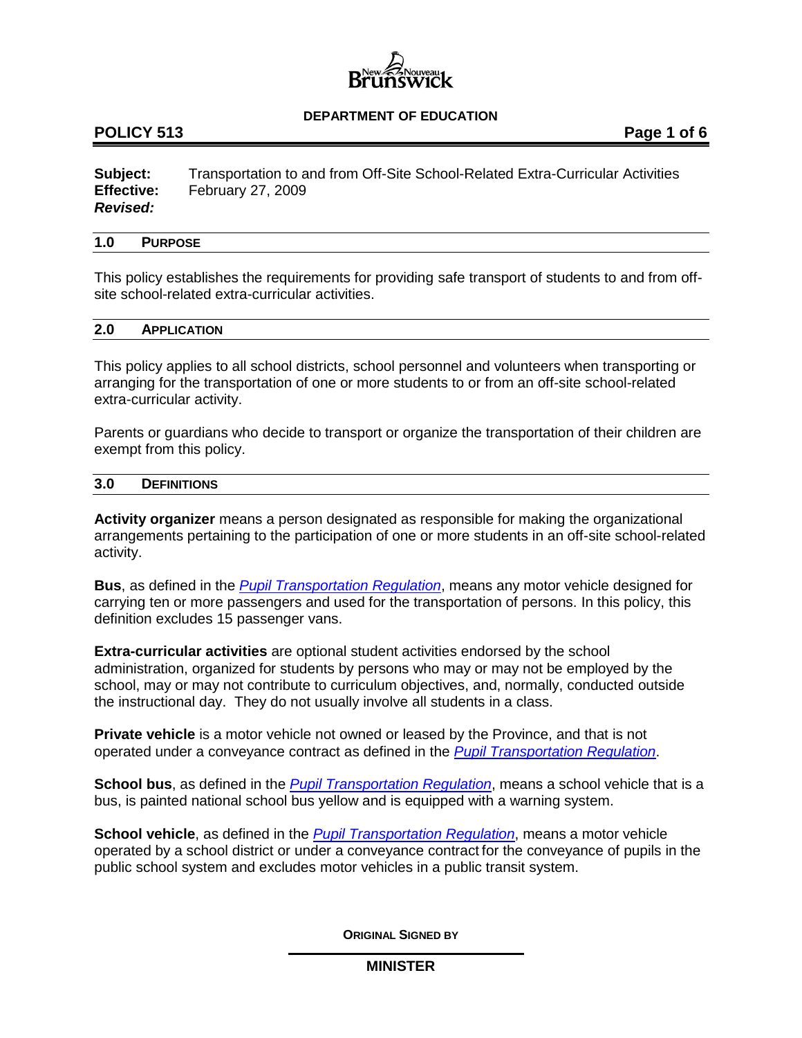

# **POLICY 513 Page 1 of 6**

**Subject:** Transportation to and from Off-Site School-Related Extra-Curricular Activities **Effective:** February 27, 2009 *Revised:*

#### **1.0 PURPOSE**

This policy establishes the requirements for providing safe transport of students to and from offsite school-related extra-curricular activities.

#### **2.0 APPLICATION**

This policy applies to all school districts, school personnel and volunteers when transporting or arranging for the transportation of one or more students to or from an off-site school-related extra-curricular activity.

Parents or guardians who decide to transport or organize the transportation of their children are exempt from this policy.

#### **3.0 DEFINITIONS**

**Activity organizer** means a person designated as responsible for making the organizational arrangements pertaining to the participation of one or more students in an off-site school-related activity.

**Bus**, as defined in the *[Pupil Transportation Regulation](http://laws.gnb.ca/en/ShowPdf/cr/2001-51.pdf)*, means any motor vehicle designed for carrying ten or more passengers and used for the transportation of persons. In this policy, this definition excludes 15 passenger vans.

**Extra-curricular activities** are optional student activities endorsed by the school administration, organized for students by persons who may or may not be employed by the school, may or may not contribute to curriculum objectives, and, normally, conducted outside the instructional day. They do not usually involve all students in a class.

**Private vehicle** is a motor vehicle not owned or leased by the Province, and that is not operated under a conveyance contract as defined in the *[Pupil Transportation Regulation](http://laws.gnb.ca/en/ShowPdf/cr/2001-51.pdf)*.

**School bus**, as defined in the *[Pupil Transportation Regulation](http://laws.gnb.ca/en/ShowPdf/cr/2001-51.pdf)*, means a school vehicle that is a bus, is painted national school bus yellow and is equipped with a warning system.

**School vehicle**, as defined in the *[Pupil Transportation Regulation](http://laws.gnb.ca/en/ShowPdf/cr/2001-51.pdf)*, means a motor vehicle operated by a school district or under a conveyance contract for the conveyance of pupils in the public school system and excludes motor vehicles in a public transit system.

**ORIGINAL SIGNED BY**

## **MINISTER**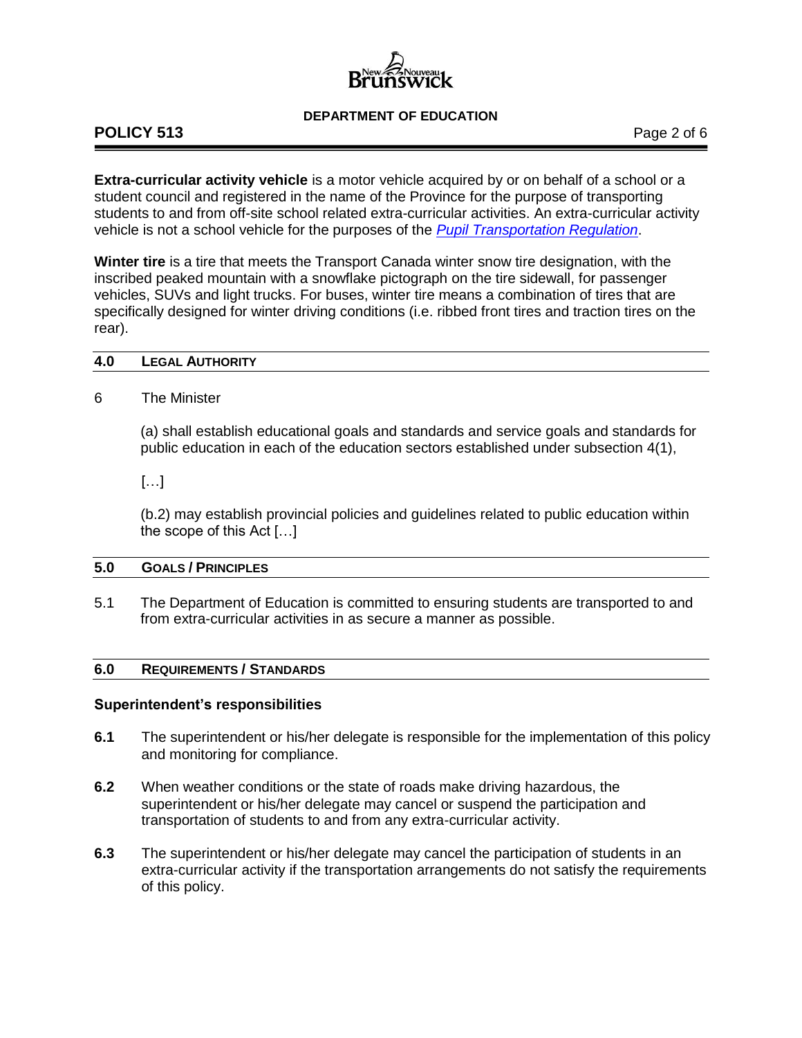# **POLICY 513** Page 2 of 6

**Extra-curricular activity vehicle** is a motor vehicle acquired by or on behalf of a school or a student council and registered in the name of the Province for the purpose of transporting students to and from off-site school related extra-curricular activities. An extra-curricular activity vehicle is not a school vehicle for the purposes of the *[Pupil Transportation Regulation](http://laws.gnb.ca/en/ShowPdf/cr/2001-51.pdf)*.

**Winter tire** is a tire that meets the Transport Canada winter snow tire designation, with the inscribed peaked mountain with a snowflake pictograph on the tire sidewall, for passenger vehicles, SUVs and light trucks. For buses, winter tire means a combination of tires that are specifically designed for winter driving conditions (i.e. ribbed front tires and traction tires on the rear).

## **4.0 LEGAL AUTHORITY**

# 6 The Minister

(a) shall establish educational goals and standards and service goals and standards for public education in each of the education sectors established under subsection 4(1),

[…]

(b.2) may establish provincial policies and guidelines related to public education within the scope of this Act […]

# **5.0 GOALS / PRINCIPLES**

5.1 The Department of Education is committed to ensuring students are transported to and from extra-curricular activities in as secure a manner as possible.

# **6.0 REQUIREMENTS / STANDARDS**

# **Superintendent's responsibilities**

- **6.1** The superintendent or his/her delegate is responsible for the implementation of this policy and monitoring for compliance.
- **6.2** When weather conditions or the state of roads make driving hazardous, the superintendent or his/her delegate may cancel or suspend the participation and transportation of students to and from any extra-curricular activity.
- **6.3** The superintendent or his/her delegate may cancel the participation of students in an extra-curricular activity if the transportation arrangements do not satisfy the requirements of this policy.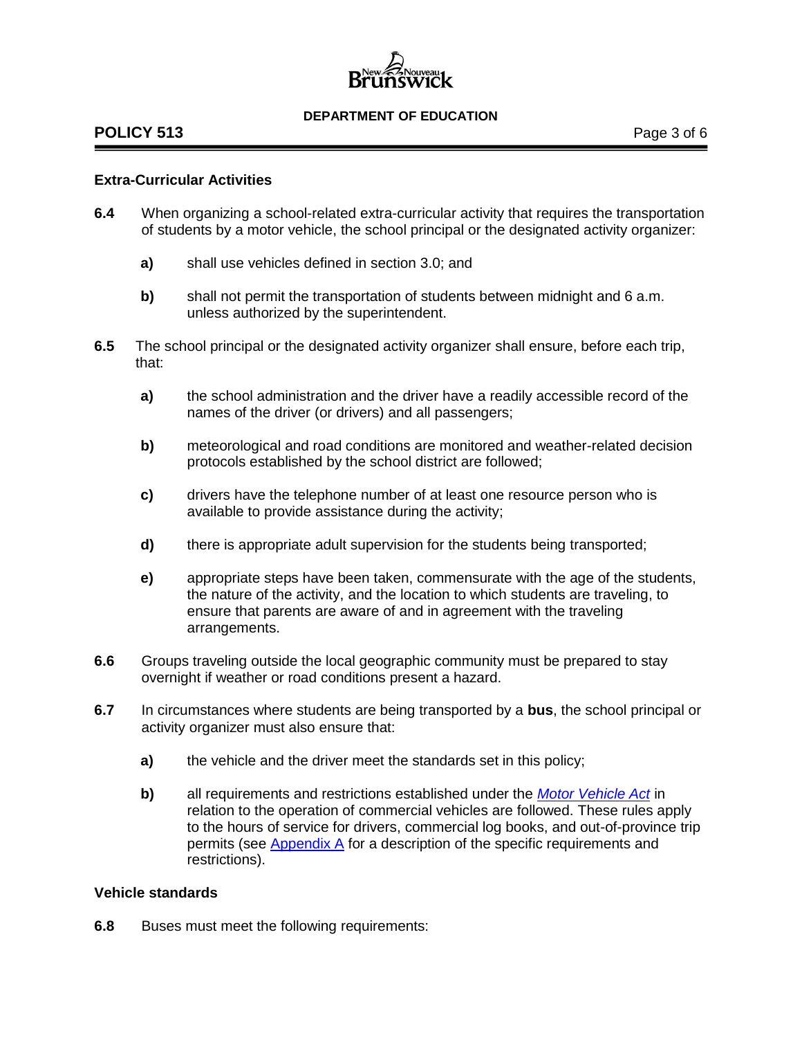# **POLICY 513** Page 3 of 6

# **Extra-Curricular Activities**

- **6.4** When organizing a school-related extra-curricular activity that requires the transportation of students by a motor vehicle, the school principal or the designated activity organizer:
	- **a)** shall use vehicles defined in section 3.0; and
	- **b)** shall not permit the transportation of students between midnight and 6 a.m. unless authorized by the superintendent.
- **6.5** The school principal or the designated activity organizer shall ensure, before each trip, that:
	- **a)** the school administration and the driver have a readily accessible record of the names of the driver (or drivers) and all passengers;
	- **b)** meteorological and road conditions are monitored and weather-related decision protocols established by the school district are followed;
	- **c)** drivers have the telephone number of at least one resource person who is available to provide assistance during the activity;
	- **d)** there is appropriate adult supervision for the students being transported;
	- **e)** appropriate steps have been taken, commensurate with the age of the students, the nature of the activity, and the location to which students are traveling, to ensure that parents are aware of and in agreement with the traveling arrangements.
- **6.6** Groups traveling outside the local geographic community must be prepared to stay overnight if weather or road conditions present a hazard.
- **6.7** In circumstances where students are being transported by a **bus**, the school principal or activity organizer must also ensure that:
	- **a)** the vehicle and the driver meet the standards set in this policy;
	- **b)** all requirements and restrictions established under the *[Motor Vehicle Act](http://laws.gnb.ca/en/ShowPdf/cs/M-17.pdf)* in relation to the operation of commercial vehicles are followed. These rules apply to the hours of service for drivers, commercial log books, and out-of-province trip permits (see [Appendix A](http://www2.gnb.ca/content/dam/gnb/Departments/ed/pdf/K12/policies-politiques/e/513AA.pdf) for a description of the specific requirements and restrictions).

# **Vehicle standards**

**6.8** Buses must meet the following requirements: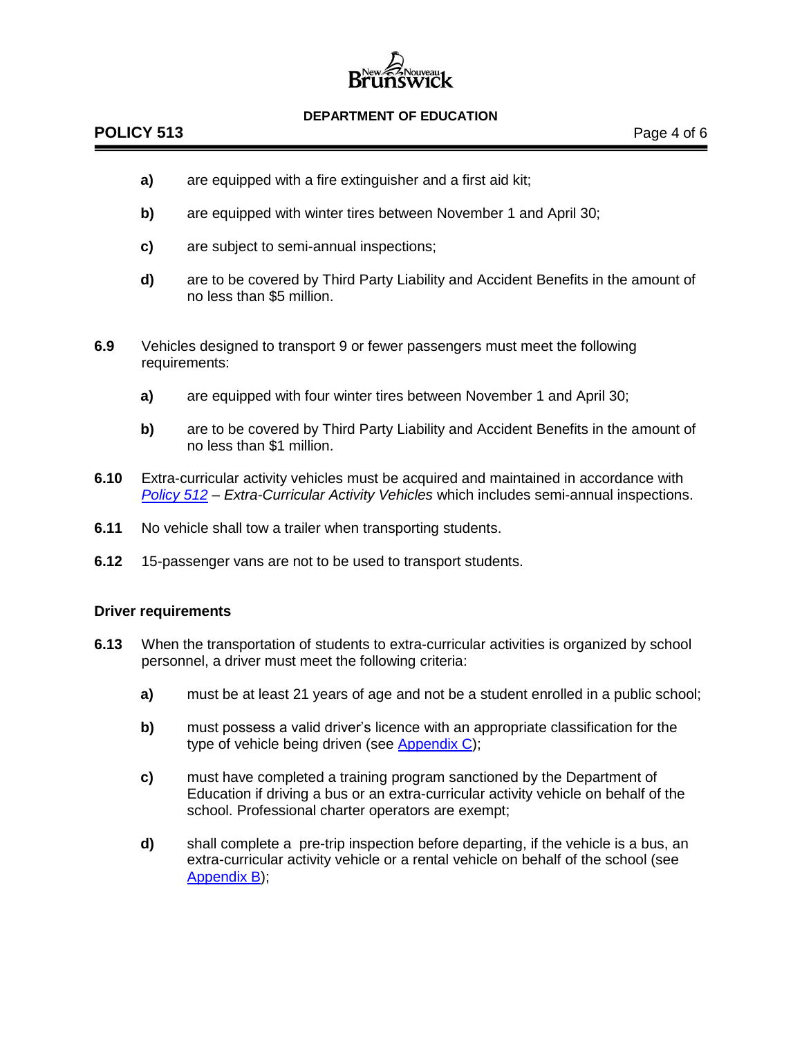# **POLICY 513** Page 4 of 6

- **a)** are equipped with a fire extinguisher and a first aid kit;
- **b)** are equipped with winter tires between November 1 and April 30;
- **c)** are subject to semi-annual inspections;
- **d)** are to be covered by Third Party Liability and Accident Benefits in the amount of no less than \$5 million.
- **6.9** Vehicles designed to transport 9 or fewer passengers must meet the following requirements:
	- **a)** are equipped with four winter tires between November 1 and April 30;
	- **b)** are to be covered by Third Party Liability and Accident Benefits in the amount of no less than \$1 million.
- **6.10** Extra-curricular activity vehicles must be acquired and maintained in accordance with *[Policy](http://www2.gnb.ca/content/dam/gnb/Departments/ed/pdf/K12/policies-politiques/e/512A.pdf) 512 – Extra-Curricular Activity Vehicles* which includes semi-annual inspections.
- **6.11** No vehicle shall tow a trailer when transporting students.
- **6.12** 15-passenger vans are not to be used to transport students.

# **Driver requirements**

- **6.13** When the transportation of students to extra-curricular activities is organized by school personnel, a driver must meet the following criteria:
	- **a)** must be at least 21 years of age and not be a student enrolled in a public school;
	- **b)** must possess a valid driver's licence with an appropriate classification for the type of vehicle being driven (see [Appendix C\)](http://www2.gnb.ca/content/dam/gnb/Departments/ed/pdf/K12/policies-politiques/e/513AC.pdf);
	- **c)** must have completed a training program sanctioned by the Department of Education if driving a bus or an extra-curricular activity vehicle on behalf of the school. Professional charter operators are exempt;
	- **d)** shall complete a pre-trip inspection before departing, if the vehicle is a bus, an extra-curricular activity vehicle or a rental vehicle on behalf of the school (see [Appendix B\)](http://www2.gnb.ca/content/dam/gnb/Departments/ed/pdf/K12/policies-politiques/e/513AB.pdf);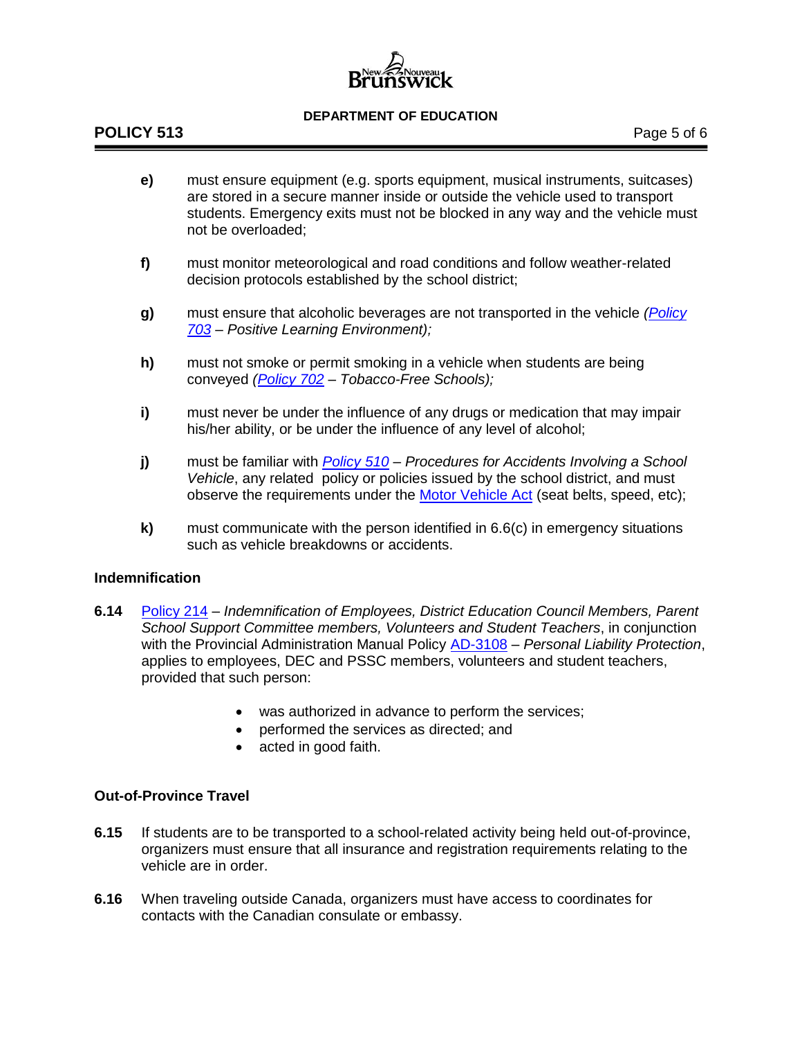

- **e)** must ensure equipment (e.g. sports equipment, musical instruments, suitcases) are stored in a secure manner inside or outside the vehicle used to transport students. Emergency exits must not be blocked in any way and the vehicle must not be overloaded;
- **f)** must monitor meteorological and road conditions and follow weather-related decision protocols established by the school district;
- **g)** must ensure that alcoholic beverages are not transported in the vehicle *[\(Policy](http://www2.gnb.ca/content/dam/gnb/Departments/ed/pdf/K12/policies-politiques/e/703A.pdf)  [703](http://www2.gnb.ca/content/dam/gnb/Departments/ed/pdf/K12/policies-politiques/e/703A.pdf) – Positive Learning Environment);*
- **h)** must not smoke or permit smoking in a vehicle when students are being conveyed *[\(Policy 702](http://www2.gnb.ca/content/dam/gnb/Departments/ed/pdf/K12/policies-politiques/e/702A.pdf) – Tobacco-Free Schools);*
- **i)** must never be under the influence of any drugs or medication that may impair his/her ability, or be under the influence of any level of alcohol;
- **j)** must be familiar with *[Policy 510](http://www2.gnb.ca/content/dam/gnb/Departments/ed/pdf/K12/policies-politiques/e/510A.pdf) – Procedures for Accidents Involving a School Vehicle*, any related policy or policies issued by the school district, and must observe the requirements under the [Motor Vehicle Act](http://laws.gnb.ca/en/ShowPdf/cs/M-17.pdf) (seat belts, speed, etc);
- **k)** must communicate with the person identified in 6.6(c) in emergency situations such as vehicle breakdowns or accidents.

# **Indemnification**

- **6.14** [Policy 214](http://www2.gnb.ca/content/dam/gnb/Departments/ed/pdf/K12/policies-politiques/e/214A.pdf) *Indemnification of Employees, District Education Council Members, Parent School Support Committee members, Volunteers and Student Teachers*, in conjunction with the Provincial Administration Manual Policy [AD-3108](http://intranet.gnb.ca/intellinet/adminman/adminman/3108-e.asp) – *Personal Liability Protection*, applies to employees, DEC and PSSC members, volunteers and student teachers, provided that such person:
	- was authorized in advance to perform the services;
	- performed the services as directed; and
	- acted in good faith.

# **Out-of-Province Travel**

- **6.15** If students are to be transported to a school-related activity being held out-of-province, organizers must ensure that all insurance and registration requirements relating to the vehicle are in order.
- **6.16** When traveling outside Canada, organizers must have access to coordinates for contacts with the Canadian consulate or embassy.